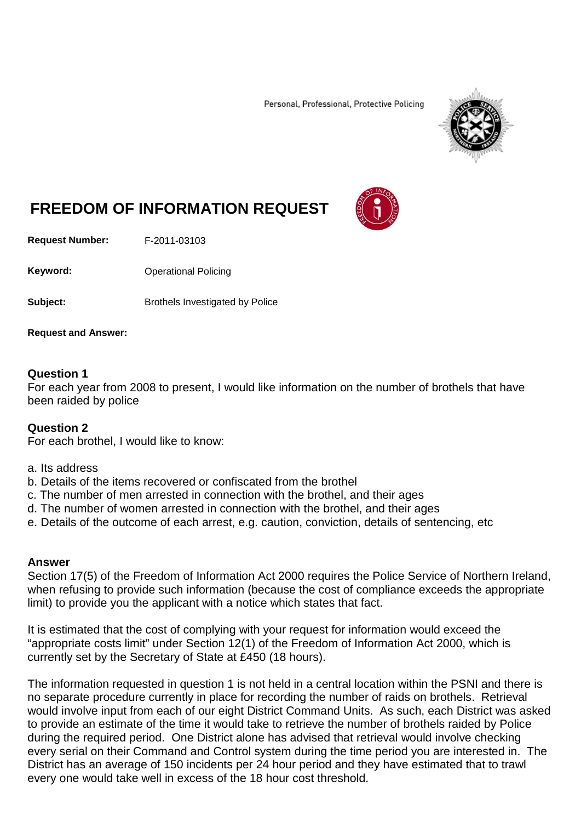Personal, Professional, Protective Policing



## **FREEDOM OF INFORMATION REQUEST**

**Request Number:** F-2011-03103

Keyword: **Channel Policing** Operational Policing

**Subject:** Brothels Investigated by Police

**Request and Answer:**

## **Question 1**

For each year from 2008 to present, I would like information on the number of brothels that have been raided by police

## **Question 2**

For each brothel, I would like to know:

- a. Its address
- b. Details of the items recovered or confiscated from the brothel
- c. The number of men arrested in connection with the brothel, and their ages
- d. The number of women arrested in connection with the brothel, and their ages
- e. Details of the outcome of each arrest, e.g. caution, conviction, details of sentencing, etc

## **Answer**

Section 17(5) of the Freedom of Information Act 2000 requires the Police Service of Northern Ireland, when refusing to provide such information (because the cost of compliance exceeds the appropriate limit) to provide you the applicant with a notice which states that fact.

It is estimated that the cost of complying with your request for information would exceed the "appropriate costs limit" under Section 12(1) of the Freedom of Information Act 2000, which is currently set by the Secretary of State at £450 (18 hours).

The information requested in question 1 is not held in a central location within the PSNI and there is no separate procedure currently in place for recording the number of raids on brothels. Retrieval would involve input from each of our eight District Command Units. As such, each District was asked to provide an estimate of the time it would take to retrieve the number of brothels raided by Police during the required period. One District alone has advised that retrieval would involve checking every serial on their Command and Control system during the time period you are interested in. The District has an average of 150 incidents per 24 hour period and they have estimated that to trawl every one would take well in excess of the 18 hour cost threshold.